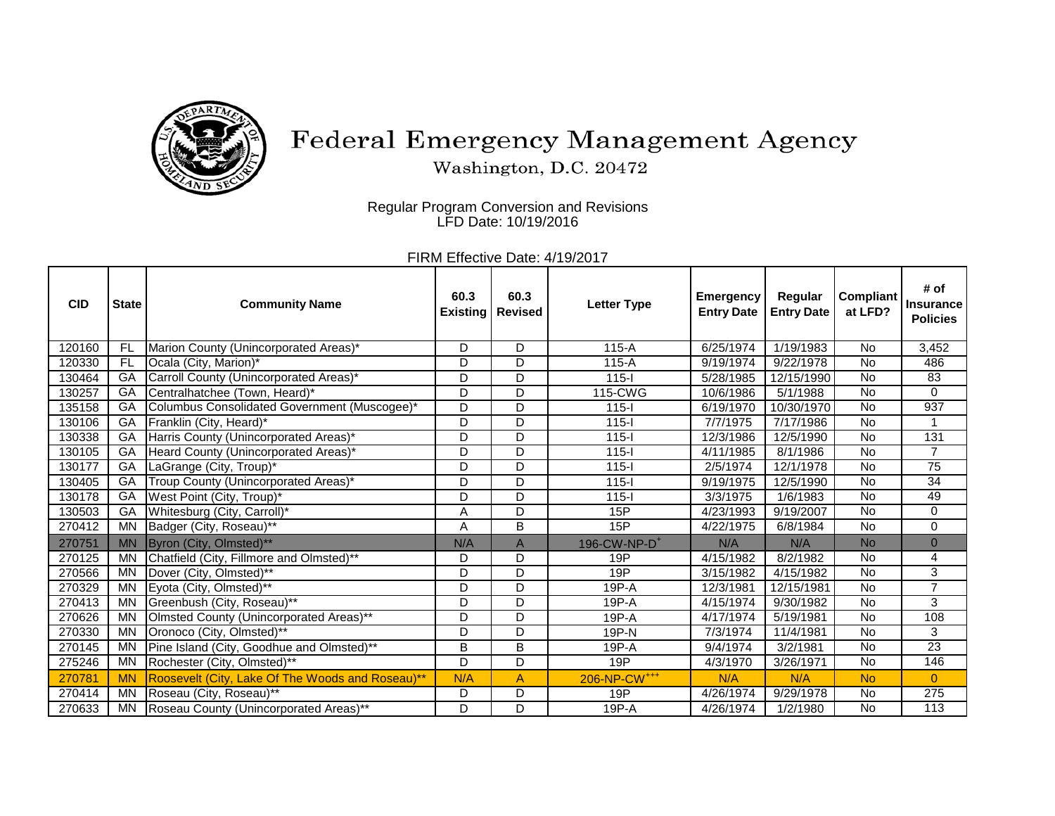

## Federal Emergency Management Agency

Washington, D.C. 20472

Regular Program Conversion and Revisions LFD Date: 10/19/2016

FIRM Effective Date: 4/19/2017

| <b>CID</b> | <b>State</b> | <b>Community Name</b>                            | 60.3<br><b>Existing</b> | 60.3<br><b>Revised</b> | <b>Letter Type</b>       | Emergency<br><b>Entry Date</b> | Regular<br><b>Entry Date</b> | <b>Compliant</b><br>at LFD? | # of<br><b>Insurance</b><br><b>Policies</b> |
|------------|--------------|--------------------------------------------------|-------------------------|------------------------|--------------------------|--------------------------------|------------------------------|-----------------------------|---------------------------------------------|
| 120160     | <b>FL</b>    | Marion County (Unincorporated Areas)*            | D                       | D                      | $115-A$                  | 6/25/1974                      | 1/19/1983                    | <b>No</b>                   | 3,452                                       |
| 120330     | FL           | Ocala (City, Marion)*                            | D.                      | D                      | $115-A$                  | 9/19/1974                      | 9/22/1978                    | <b>No</b>                   | 486                                         |
| 130464     | $G$ A        | Carroll County (Unincorporated Areas)*           | D                       | D                      | $115 -$                  | 5/28/1985                      | 12/15/1990                   | <b>No</b>                   | 83                                          |
| 130257     | GA           | Centralhatchee (Town, Heard)*                    | D                       | D                      | 115-CWG                  | 10/6/1986                      | 5/1/1988                     | <b>No</b>                   | 0                                           |
| 135158     | GA           | Columbus Consolidated Government (Muscogee)*     | D                       | D                      | $115 -$                  | 6/19/1970                      | 10/30/1970                   | <b>No</b>                   | 937                                         |
| 130106     | GA           | Franklin (City, Heard)*                          | D.                      | D                      | $115-I$                  | 7/7/1975                       | $\sqrt{7/17/1986}$           | <b>No</b>                   | 1                                           |
| 130338     | $G$ A        | Harris County (Unincorporated Areas)*            | D                       | D                      | $115 -$                  | 12/3/1986                      | 12/5/1990                    | <b>No</b>                   | 131                                         |
| 130105     | GA           | Heard County (Unincorporated Areas)*             | D                       | D                      | $115-I$                  | 4/11/1985                      | 8/1/1986                     | <b>No</b>                   | $\overline{7}$                              |
| 130177     | GA           | LaGrange (City, Troup)*                          | D                       | D                      | $115 -$                  | 2/5/1974                       | 12/1/1978                    | No                          | 75                                          |
| 130405     | GA           | Troup County (Unincorporated Areas)*             | D                       | D                      | $115 -$                  | 9/19/1975                      | 12/5/1990                    | <b>No</b>                   | $\overline{34}$                             |
| 130178     | GA           | West Point (City, Troup)*                        | D                       | D                      | $115 -$                  | 3/3/1975                       | 1/6/1983                     | No                          | 49                                          |
| 130503     | GA           | Whitesburg (City, Carroll)*                      | A                       | D                      | 15P                      | 4/23/1993                      | 9/19/2007                    | <b>No</b>                   | 0                                           |
| 270412     | <b>MN</b>    | Badger (City, Roseau)**                          | Α                       | B                      | 15P                      | 4/22/1975                      | 6/8/1984                     | No                          | 0                                           |
| 270751     | <b>MN</b>    | Byron (City, Olmsted)**                          | N/A                     | $\overline{A}$         | 196-CW-NP-D <sup>+</sup> | N/A                            | N/A                          | <b>No</b>                   | $\overline{0}$                              |
| 270125     | <b>MN</b>    | Chatfield (City, Fillmore and Olmsted)**         | D                       | D                      | 19P                      | 4/15/1982                      | $\sqrt{8}/2/1982$            | <b>No</b>                   | 4                                           |
| 270566     | MN           | Dover (City, Olmsted)**                          | D                       | $\overline{D}$         | 19P                      | 3/15/1982                      | $\sqrt{4/15/1982}$           | $\overline{N}$              | 3                                           |
| 270329     | <b>MN</b>    | Eyota (City, Olmsted)**                          | D                       | D                      | 19P-A                    | 12/3/1981                      | 12/15/1981                   | <b>No</b>                   | $\overline{7}$                              |
| 270413     | <b>MN</b>    | Greenbush (City, Roseau)**                       | D                       | D                      | 19P-A                    | 4/15/1974                      | 9/30/1982                    | <b>No</b>                   | 3                                           |
| 270626     | <b>MN</b>    | Olmsted County (Unincorporated Areas)**          | D                       | D                      | $19P-A$                  | 4/17/1974                      | 5/19/1981                    | No                          | 108                                         |
| 270330     | <b>MN</b>    | Oronoco (City, Olmsted)**                        | D                       | D                      | 19P-N                    | 7/3/1974                       | 11/4/1981                    | <b>No</b>                   | 3                                           |
| 270145     | <b>MN</b>    | Pine Island (City, Goodhue and Olmsted)**        | B                       | B                      | 19P-A                    | 9/4/1974                       | $\sqrt{3}/2/1981$            | <b>No</b>                   | $\overline{23}$                             |
| 275246     | <b>MN</b>    | Rochester (City, Olmsted)**                      | D                       | D                      | 19P                      | 4/3/1970                       | 3/26/1971                    | <b>No</b>                   | 146                                         |
| 270781     | <b>MN</b>    | Roosevelt (City, Lake Of The Woods and Roseau)** | N/A                     | A                      | 206-NP-CW <sup>+++</sup> | N/A                            | N/A                          | <b>No</b>                   | $\overline{0}$                              |
| 270414     | <b>MN</b>    | Roseau (City, Roseau)**                          | D                       | D                      | 19P                      | 4/26/1974                      | 9/29/1978                    | <b>No</b>                   | 275                                         |
| 270633     | <b>MN</b>    | Roseau County (Unincorporated Areas)**           | D                       | D                      | 19P-A                    | 4/26/1974                      | $\sqrt{1/2/1980}$            | <b>No</b>                   | $\overline{113}$                            |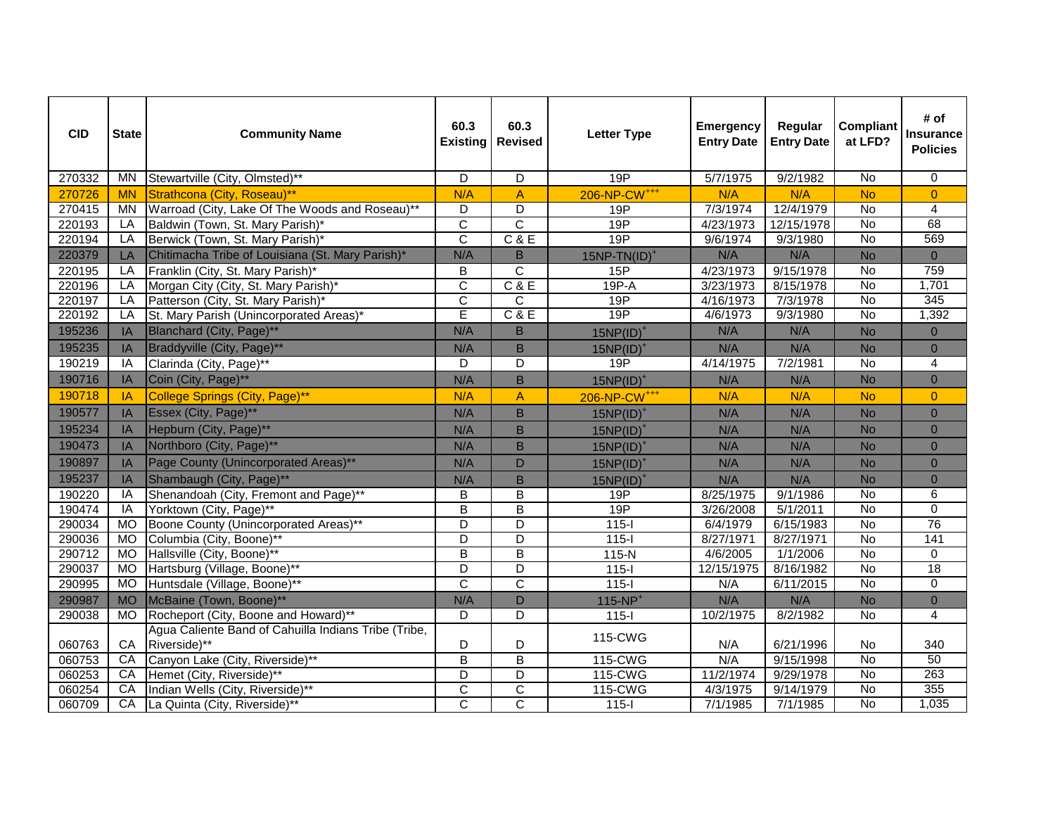| <b>CID</b> | <b>State</b> | <b>Community Name</b>                                | 60.3<br><b>Existing</b> | 60.3<br><b>Revised</b>  | <b>Letter Type</b>       | <b>Emergency</b><br><b>Entry Date</b> | Regular<br><b>Entry Date</b> | <b>Compliant</b><br>at LFD? | # of<br><b>Insurance</b><br><b>Policies</b> |
|------------|--------------|------------------------------------------------------|-------------------------|-------------------------|--------------------------|---------------------------------------|------------------------------|-----------------------------|---------------------------------------------|
| 270332     | <b>MN</b>    | Stewartville (City, Olmsted)**                       | D                       | $\overline{D}$          | 19P                      | 5/7/1975                              | 9/2/1982                     | No                          | $\overline{0}$                              |
| 270726     | <b>MN</b>    | Strathcona (City, Roseau)**                          | N/A                     | $\overline{A}$          | 206-NP-CW <sup>+++</sup> | N/A                                   | N/A                          | <b>No</b>                   | $\overline{0}$                              |
| 270415     | <b>MN</b>    | Warroad (City, Lake Of The Woods and Roseau)**       | D                       | $\overline{\mathsf{D}}$ | 19P                      | 7/3/1974                              | 12/4/1979                    | <b>No</b>                   | 4                                           |
| 220193     | LA           | Baldwin (Town, St. Mary Parish)*                     | $\overline{\mathsf{C}}$ | $\overline{c}$          | 19P                      | 4/23/1973                             | 12/15/1978                   | $\overline{N}$              | 68                                          |
| 220194     | LA           | Berwick (Town, St. Mary Parish)*                     | $\overline{C}$          | C & E                   | 19P                      | 9/6/1974                              | 9/3/1980                     | No                          | 569                                         |
| 220379     | LA           | Chitimacha Tribe of Louisiana (St. Mary Parish)*     | N/A                     | B                       | $15NP-TN(ID)^+$          | N/A                                   | N/A                          | No                          | $\overline{0}$                              |
| 220195     | LA           | Franklin (City, St. Mary Parish)*                    | B                       | $\mathsf{C}$            | 15P                      | 4/23/1973                             | 9/15/1978                    | No                          | 759                                         |
| 220196     | LA           | Morgan City (City, St. Mary Parish)*                 | $\overline{\mathsf{C}}$ | C & E                   | $19P - A$                | 3/23/1973                             | 8/15/1978                    | No                          | 1,701                                       |
| 220197     | LA           | Patterson (City, St. Mary Parish)*                   | $\overline{\text{c}}$   | C                       | 19P                      | 4/16/1973                             | 7/3/1978                     | <b>No</b>                   | 345                                         |
| 220192     | LA           | St. Mary Parish (Unincorporated Areas)*              | Ē                       | C & E                   | 19P                      | 4/6/1973                              | 9/3/1980                     | No                          | 1,392                                       |
| 195236     | IA           | Blanchard (City, Page)**                             | N/A                     | B                       | $15NP(ID)^+$             | N/A                                   | N/A                          | <b>No</b>                   | $\overline{0}$                              |
| 195235     | IA           | Braddyville (City, Page)**                           | N/A                     | B                       | $15NP(ID)^+$             | N/A                                   | N/A                          | <b>No</b>                   | $\overline{0}$                              |
| 190219     | IA           | Clarinda (City, Page)**                              | D                       | D                       | 19P                      | 4/14/1975                             | 7/2/1981                     | <b>No</b>                   | 4                                           |
| 190716     | IA           | Coin (City, Page)**                                  | N/A                     | $\mathsf B$             | $15NP(ID)^+$             | N/A                                   | N/A                          | <b>No</b>                   | $\overline{0}$                              |
| 190718     | IA           | College Springs (City, Page)**                       | N/A                     | $\overline{A}$          | 206-NP-CW <sup>+++</sup> | N/A                                   | N/A                          | <b>No</b>                   | $\overline{0}$                              |
| 190577     | IA           | Essex (City, Page)**                                 | N/A                     | $\mathsf B$             | $15NP(ID)^+$             | N/A                                   | N/A                          | <b>No</b>                   | $\overline{0}$                              |
| 195234     | IA           | Hepburn (City, Page)**                               | N/A                     | B                       | $15NP(ID)^+$             | N/A                                   | N/A                          | <b>No</b>                   | $\overline{0}$                              |
| 190473     | IA           | Northboro (City, Page)**                             | N/A                     | B                       | $15NP(ID)^+$             | N/A                                   | N/A                          | <b>No</b>                   | $\overline{0}$                              |
| 190897     | IA           | Page County (Unincorporated Areas)**                 | N/A                     | D                       | $15NP(ID)^+$             | N/A                                   | N/A                          | <b>No</b>                   | $\overline{0}$                              |
| 195237     | IA           | Shambaugh (City, Page)**                             | N/A                     | B                       | $15NP(ID)^+$             | N/A                                   | N/A                          | <b>No</b>                   | $\overline{0}$                              |
| 190220     | IA           | Shenandoah (City, Fremont and Page)**                | B                       | B                       | 19P                      | 8/25/1975                             | 9/1/1986                     | $\overline{N}$              | 6                                           |
| 190474     | IA           | Yorktown (City, Page)**                              | B                       | B                       | 19P                      | 3/26/2008                             | 5/1/2011                     | No                          | 0                                           |
| 290034     | <b>MO</b>    | Boone County (Unincorporated Areas)**                | D                       | D                       | $115 -$                  | 6/4/1979                              | 6/15/1983                    | No                          | 76                                          |
| 290036     | <b>MO</b>    | Columbia (City, Boone)**                             | $\overline{D}$          | $\overline{\mathsf{D}}$ | $115-I$                  | 8/27/1971                             | 8/27/1971                    | <b>No</b>                   | 141                                         |
| 290712     | <b>MO</b>    | Hallsville (City, Boone)**                           | B                       | $\overline{B}$          | $115-N$                  | 4/6/2005                              | 1/1/2006                     | <b>No</b>                   | 0                                           |
| 290037     | MO           | Hartsburg (Village, Boone)**                         | D                       | D                       | $115-I$                  | 12/15/1975                            | 8/16/1982                    | $\overline{N}$              | 18                                          |
| 290995     | <b>MO</b>    | Huntsdale (Village, Boone)**                         | C                       | $\overline{\text{c}}$   | $115 -$                  | N/A                                   | 6/11/2015                    | No                          | 0                                           |
| 290987     | <b>MO</b>    | McBaine (Town, Boone)**                              | N/A                     | D                       | $115-NP+$                | N/A                                   | N/A                          | <b>No</b>                   | $\overline{0}$                              |
| 290038     | <b>MO</b>    | Rocheport (City, Boone and Howard)**                 | D                       | D                       | $115-I$                  | 10/2/1975                             | 8/2/1982                     | No                          | 4                                           |
|            |              | Agua Caliente Band of Cahuilla Indians Tribe (Tribe, |                         |                         | 115-CWG                  |                                       |                              |                             |                                             |
| 060763     | CA           | Riverside)**                                         | D                       | D                       |                          | N/A                                   | 6/21/1996                    | No                          | 340                                         |
| 060753     | CA           | Canyon Lake (City, Riverside)**                      | B                       | $\overline{B}$          | 115-CWG                  | N/A                                   | 9/15/1998                    | $\overline{N}$              | 50                                          |
| 060253     | CA           | Hemet (City, Riverside)**                            | D                       | D                       | 115-CWG                  | 11/2/1974                             | 9/29/1978                    | $\overline{N}$              | 263                                         |
| 060254     | CA           | Indian Wells (City, Riverside)**                     | C                       | $\overline{\text{c}}$   | 115-CWG                  | 4/3/1975                              | 9/14/1979                    | $\overline{N}$              | 355                                         |
| 060709     | CA           | La Quinta (City, Riverside)**                        | $\overline{C}$          | $\overline{\text{c}}$   | $115-I$                  | 7/1/1985                              | 7/1/1985                     | No                          | 1,035                                       |